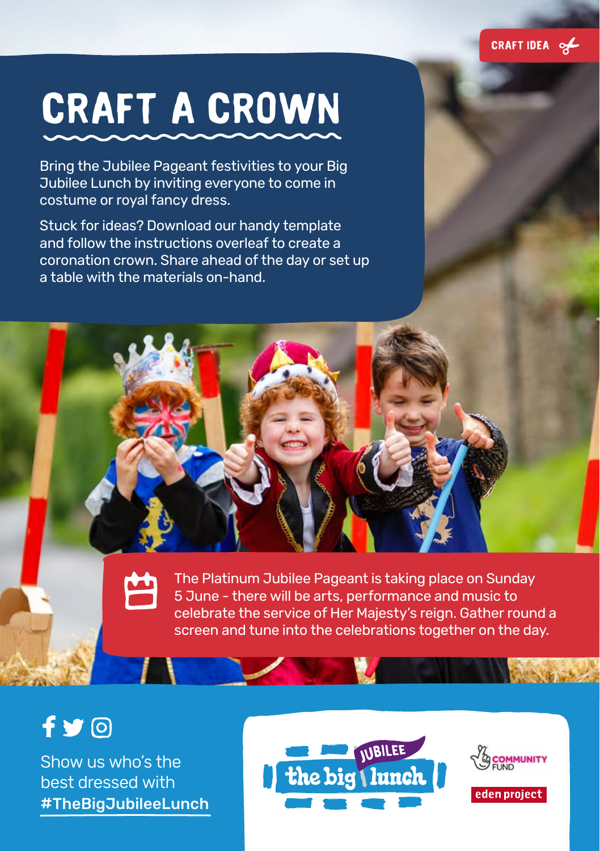

# **Craft a crown**

Bring the Jubilee Pageant festivities to your Big Jubilee Lunch by inviting everyone to come in costume or royal fancy dress.

Stuck for ideas? Download our handy template and follow the instructions overleaf to create a coronation crown. Share ahead of the day or set up a table with the materials on-hand.

> The Platinum Jubilee Pageant is taking place on Sunday 5 June - there will be arts, performance and music to celebrate the service of Her Majesty's reign. Gather round a screen and tune into the celebrations together on the day.

### $f \vee \odot$

Show us who's the best dressed with #TheBigJubileeLunch





**AVENUE**